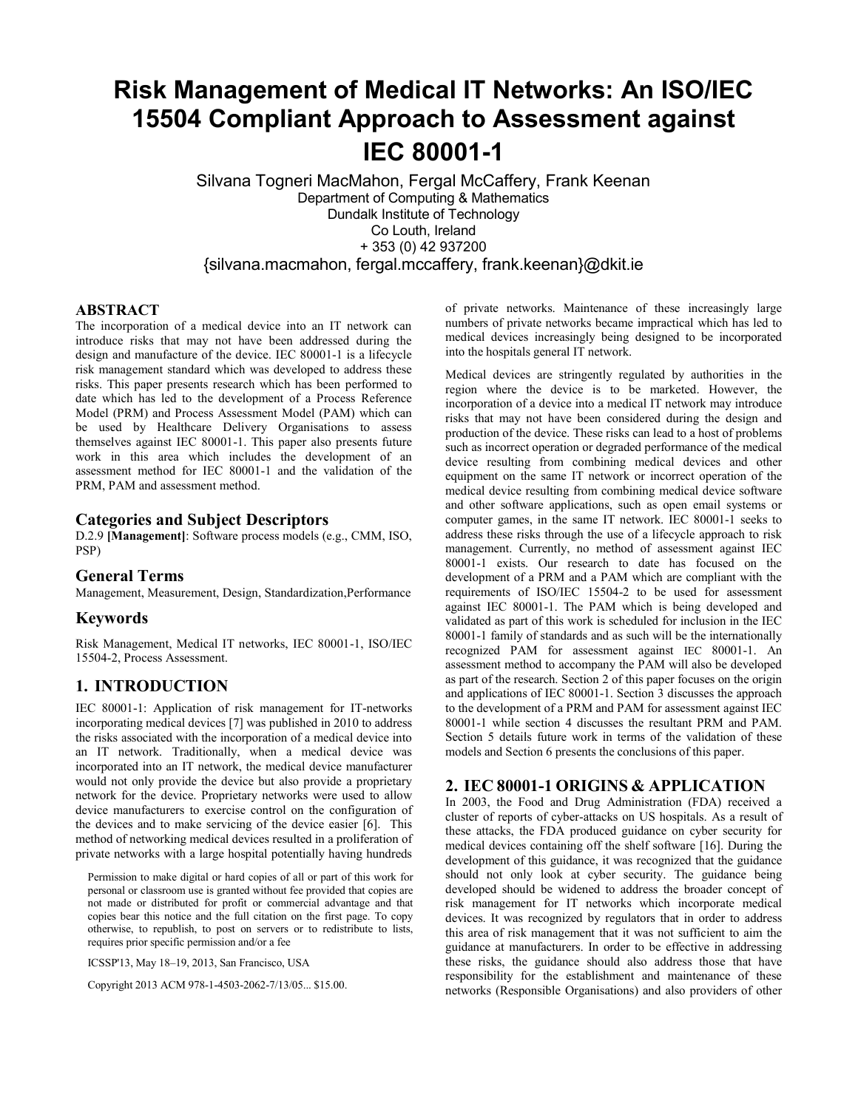# **Risk Management of Medical IT Networks: An ISO/IEC 15504 Compliant Approach to Assessment against IEC 80001-1**

Silvana Togneri MacMahon, Fergal McCaffery, Frank Keenan Department of Computing & Mathematics Dundalk Institute of Technology Co Louth, Ireland + 353 (0) 42 937200 {silvana.macmahon, fergal.mccaffery, frank.keenan}@dkit.ie

#### **ABSTRACT**

The incorporation of a medical device into an IT network can introduce risks that may not have been addressed during the design and manufacture of the device. IEC 80001-1 is a lifecycle risk management standard which was developed to address these risks. This paper presents research which has been performed to date which has led to the development of a Process Reference Model (PRM) and Process Assessment Model (PAM) which can be used by Healthcare Delivery Organisations to assess themselves against IEC 80001-1. This paper also presents future work in this area which includes the development of an assessment method for IEC 80001-1 and the validation of the PRM, PAM and assessment method.

#### **Categories and Subject Descriptors**

D.2.9 **[Management]**: Software process models (e.g., CMM, ISO, PSP)

#### **General Terms**

Management, Measurement, Design, Standardization,Performance

#### **Keywords**

Risk Management, Medical IT networks, IEC 80001-1, ISO/IEC 15504-2, Process Assessment.

## **1. INTRODUCTION**

IEC 80001-1: Application of risk management for IT-networks incorporating medical devices [\[7\]](#page-4-0) was published in 2010 to address the risks associated with the incorporation of a medical device into an IT network. Traditionally, when a medical device was incorporated into an IT network, the medical device manufacturer would not only provide the device but also provide a proprietary network for the device. Proprietary networks were used to allow device manufacturers to exercise control on the configuration of the devices and to make servicing of the device easier [\[6\]](#page-4-1). This method of networking medical devices resulted in a proliferation of private networks with a large hospital potentially having hundreds

Permission to make digital or hard copies of all or part of this work for personal or classroom use is granted without fee provided that copies are not made or distributed for profit or commercial advantage and that copies bear this notice and the full citation on the first page. To copy otherwise, to republish, to post on servers or to redistribute to lists, requires prior specific permission and/or a fee

ICSSP'13, May 18–19, 2013, San Francisco, USA

Copyright 2013 ACM 978-1-4503-2062-7/13/05... \$15.00.

of private networks. Maintenance of these increasingly large numbers of private networks became impractical which has led to medical devices increasingly being designed to be incorporated into the hospitals general IT network.

Medical devices are stringently regulated by authorities in the region where the device is to be marketed. However, the incorporation of a device into a medical IT network may introduce risks that may not have been considered during the design and production of the device. These risks can lead to a host of problems such as incorrect operation or degraded performance of the medical device resulting from combining medical devices and other equipment on the same IT network or incorrect operation of the medical device resulting from combining medical device software and other software applications, such as open email systems or computer games, in the same IT network. IEC 80001-1 seeks to address these risks through the use of a lifecycle approach to risk management. Currently, no method of assessment against IEC 80001-1 exists. Our research to date has focused on the development of a PRM and a PAM which are compliant with the requirements of ISO/IEC 15504-2 to be used for assessment against IEC 80001-1. The PAM which is being developed and validated as part of this work is scheduled for inclusion in the IEC 80001-1 family of standards and as such will be the internationally recognized PAM for assessment against IEC 80001-1. An assessment method to accompany the PAM will also be developed as part of the research. Section 2 of this paper focuses on the origin and applications of IEC 80001-1. Section 3 discusses the approach to the development of a PRM and PAM for assessment against IEC 80001-1 while section 4 discusses the resultant PRM and PAM. Section 5 details future work in terms of the validation of these models and Section 6 presents the conclusions of this paper.

### **2. IEC 80001-1 ORIGINS & APPLICATION**

In 2003, the Food and Drug Administration (FDA) received a cluster of reports of cyber-attacks on US hospitals. As a result of these attacks, the FDA produced guidance on cyber security for medical devices containing off the shelf software [\[16\]](#page-4-2). During the development of this guidance, it was recognized that the guidance should not only look at cyber security. The guidance being developed should be widened to address the broader concept of risk management for IT networks which incorporate medical devices. It was recognized by regulators that in order to address this area of risk management that it was not sufficient to aim the guidance at manufacturers. In order to be effective in addressing these risks, the guidance should also address those that have responsibility for the establishment and maintenance of these networks (Responsible Organisations) and also providers of other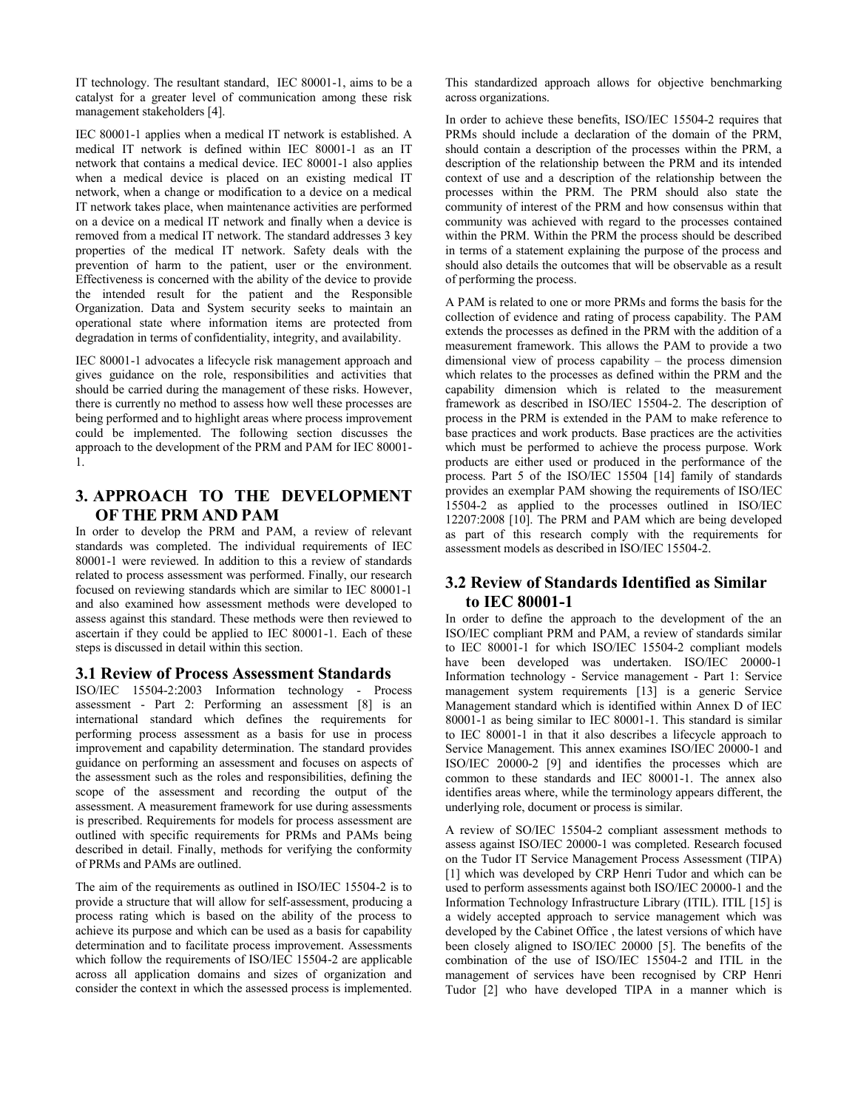IT technology. The resultant standard, IEC 80001-1, aims to be a catalyst for a greater level of communication among these risk management stakeholders [\[4\]](#page-4-3).

IEC 80001-1 applies when a medical IT network is established. A medical IT network is defined within IEC 80001-1 as an IT network that contains a medical device. IEC 80001-1 also applies when a medical device is placed on an existing medical IT network, when a change or modification to a device on a medical IT network takes place, when maintenance activities are performed on a device on a medical IT network and finally when a device is removed from a medical IT network. The standard addresses 3 key properties of the medical IT network. Safety deals with the prevention of harm to the patient, user or the environment. Effectiveness is concerned with the ability of the device to provide the intended result for the patient and the Responsible Organization. Data and System security seeks to maintain an operational state where information items are protected from degradation in terms of confidentiality, integrity, and availability.

IEC 80001-1 advocates a lifecycle risk management approach and gives guidance on the role, responsibilities and activities that should be carried during the management of these risks. However, there is currently no method to assess how well these processes are being performed and to highlight areas where process improvement could be implemented. The following section discusses the approach to the development of the PRM and PAM for IEC 80001- 1.

# **3. APPROACH TO THE DEVELOPMENT OF THE PRM AND PAM**

In order to develop the PRM and PAM, a review of relevant standards was completed. The individual requirements of IEC 80001-1 were reviewed. In addition to this a review of standards related to process assessment was performed. Finally, our research focused on reviewing standards which are similar to IEC 80001-1 and also examined how assessment methods were developed to assess against this standard. These methods were then reviewed to ascertain if they could be applied to IEC 80001-1. Each of these steps is discussed in detail within this section.

#### **3.1 Review of Process Assessment Standards**

ISO/IEC 15504-2:2003 Information technology - Process assessment - Part 2: Performing an assessment [\[8\]](#page-4-4) is an international standard which defines the requirements for performing process assessment as a basis for use in process improvement and capability determination. The standard provides guidance on performing an assessment and focuses on aspects of the assessment such as the roles and responsibilities, defining the scope of the assessment and recording the output of the assessment. A measurement framework for use during assessments is prescribed. Requirements for models for process assessment are outlined with specific requirements for PRMs and PAMs being described in detail. Finally, methods for verifying the conformity of PRMs and PAMs are outlined.

The aim of the requirements as outlined in ISO/IEC 15504-2 is to provide a structure that will allow for self-assessment, producing a process rating which is based on the ability of the process to achieve its purpose and which can be used as a basis for capability determination and to facilitate process improvement. Assessments which follow the requirements of ISO/IEC 15504-2 are applicable across all application domains and sizes of organization and consider the context in which the assessed process is implemented.

This standardized approach allows for objective benchmarking across organizations.

In order to achieve these benefits, ISO/IEC 15504-2 requires that PRMs should include a declaration of the domain of the PRM, should contain a description of the processes within the PRM, a description of the relationship between the PRM and its intended context of use and a description of the relationship between the processes within the PRM. The PRM should also state the community of interest of the PRM and how consensus within that community was achieved with regard to the processes contained within the PRM. Within the PRM the process should be described in terms of a statement explaining the purpose of the process and should also details the outcomes that will be observable as a result of performing the process.

A PAM is related to one or more PRMs and forms the basis for the collection of evidence and rating of process capability. The PAM extends the processes as defined in the PRM with the addition of a measurement framework. This allows the PAM to provide a two dimensional view of process capability – the process dimension which relates to the processes as defined within the PRM and the capability dimension which is related to the measurement framework as described in ISO/IEC 15504-2. The description of process in the PRM is extended in the PAM to make reference to base practices and work products. Base practices are the activities which must be performed to achieve the process purpose. Work products are either used or produced in the performance of the process. Part 5 of the ISO/IEC 15504 [\[14\]](#page-4-5) family of standards provides an exemplar PAM showing the requirements of ISO/IEC 15504-2 as applied to the processes outlined in ISO/IEC 12207:2008 [\[10\]](#page-4-6). The PRM and PAM which are being developed as part of this research comply with the requirements for assessment models as described in ISO/IEC 15504-2.

# **3.2 Review of Standards Identified as Similar to IEC 80001-1**

In order to define the approach to the development of the an ISO/IEC compliant PRM and PAM, a review of standards similar to IEC 80001-1 for which ISO/IEC 15504-2 compliant models have been developed was undertaken. ISO/IEC 20000-1 Information technology - Service management - Part 1: Service management system requirements [\[13\]](#page-4-7) is a generic Service Management standard which is identified within Annex D of IEC 80001-1 as being similar to IEC 80001-1. This standard is similar to IEC 80001-1 in that it also describes a lifecycle approach to Service Management. This annex examines ISO/IEC 20000-1 and ISO/IEC 20000-2 [\[9\]](#page-4-8) and identifies the processes which are common to these standards and IEC 80001-1. The annex also identifies areas where, while the terminology appears different, the underlying role, document or process is similar.

A review of SO/IEC 15504-2 compliant assessment methods to assess against ISO/IEC 20000-1 was completed. Research focused on the Tudor IT Service Management Process Assessment (TIPA) [\[1\]](#page-4-9) which was developed by CRP Henri Tudor and which can be used to perform assessments against both ISO/IEC 20000-1 and the Information Technology Infrastructure Library (ITIL). ITIL [\[15\]](#page-4-10) is a widely accepted approach to service management which was developed by the Cabinet Office , the latest versions of which have been closely aligned to ISO/IEC 20000 [\[5\]](#page-4-11). The benefits of the combination of the use of ISO/IEC 15504-2 and ITIL in the management of services have been recognised by CRP Henri Tudor [\[2\]](#page-4-12) who have developed TIPA in a manner which is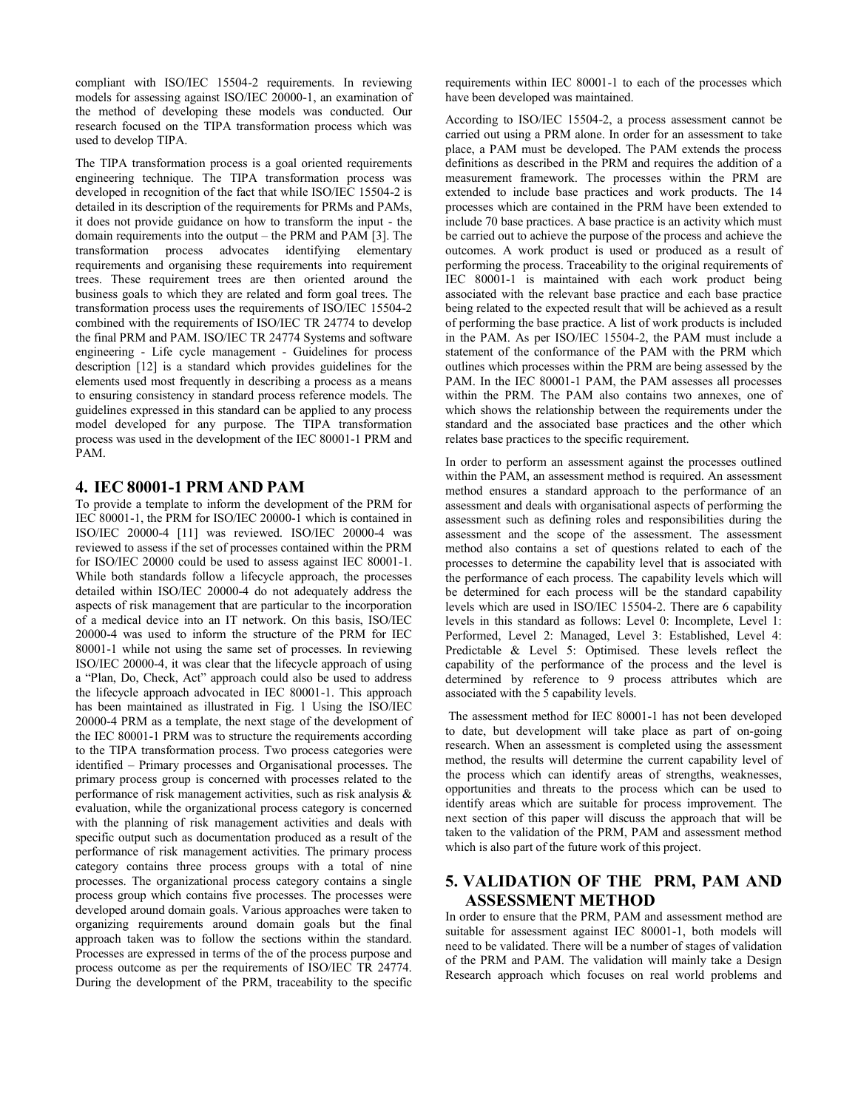compliant with ISO/IEC 15504-2 requirements. In reviewing models for assessing against ISO/IEC 20000-1, an examination of the method of developing these models was conducted. Our research focused on the TIPA transformation process which was used to develop TIPA.

The TIPA transformation process is a goal oriented requirements engineering technique. The TIPA transformation process was developed in recognition of the fact that while ISO/IEC 15504-2 is detailed in its description of the requirements for PRMs and PAMs, it does not provide guidance on how to transform the input - the domain requirements into the output – the PRM and PAM [\[3\]](#page-4-13). The transformation process advocates identifying elementary requirements and organising these requirements into requirement trees. These requirement trees are then oriented around the business goals to which they are related and form goal trees. The transformation process uses the requirements of ISO/IEC 15504-2 combined with the requirements of ISO/IEC TR 24774 to develop the final PRM and PAM. ISO/IEC TR 24774 Systems and software engineering - Life cycle management - Guidelines for process description [\[12\]](#page-4-14) is a standard which provides guidelines for the elements used most frequently in describing a process as a means to ensuring consistency in standard process reference models. The guidelines expressed in this standard can be applied to any process model developed for any purpose. The TIPA transformation process was used in the development of the IEC 80001-1 PRM and PAM.

## **4. IEC 80001-1 PRM AND PAM**

To provide a template to inform the development of the PRM for IEC 80001-1, the PRM for ISO/IEC 20000-1 which is contained in ISO/IEC 20000-4 [\[11\]](#page-4-15) was reviewed. ISO/IEC 20000-4 was reviewed to assess if the set of processes contained within the PRM for ISO/IEC 20000 could be used to assess against IEC 80001-1. While both standards follow a lifecycle approach, the processes detailed within ISO/IEC 20000-4 do not adequately address the aspects of risk management that are particular to the incorporation of a medical device into an IT network. On this basis, ISO/IEC 20000-4 was used to inform the structure of the PRM for IEC 80001-1 while not using the same set of processes. In reviewing ISO/IEC 20000-4, it was clear that the lifecycle approach of using a "Plan, Do, Check, Act" approach could also be used to address the lifecycle approach advocated in IEC 80001-1. This approach has been maintained as illustrated in Fig. 1 Using the ISO/IEC 20000-4 PRM as a template, the next stage of the development of the IEC 80001-1 PRM was to structure the requirements according to the TIPA transformation process. Two process categories were identified – Primary processes and Organisational processes. The primary process group is concerned with processes related to the performance of risk management activities, such as risk analysis & evaluation, while the organizational process category is concerned with the planning of risk management activities and deals with specific output such as documentation produced as a result of the performance of risk management activities. The primary process category contains three process groups with a total of nine processes. The organizational process category contains a single process group which contains five processes. The processes were developed around domain goals. Various approaches were taken to organizing requirements around domain goals but the final approach taken was to follow the sections within the standard. Processes are expressed in terms of the of the process purpose and process outcome as per the requirements of ISO/IEC TR 24774. During the development of the PRM, traceability to the specific requirements within IEC 80001-1 to each of the processes which have been developed was maintained.

According to ISO/IEC 15504-2, a process assessment cannot be carried out using a PRM alone. In order for an assessment to take place, a PAM must be developed. The PAM extends the process definitions as described in the PRM and requires the addition of a measurement framework. The processes within the PRM are extended to include base practices and work products. The 14 processes which are contained in the PRM have been extended to include 70 base practices. A base practice is an activity which must be carried out to achieve the purpose of the process and achieve the outcomes. A work product is used or produced as a result of performing the process. Traceability to the original requirements of IEC 80001-1 is maintained with each work product being associated with the relevant base practice and each base practice being related to the expected result that will be achieved as a result of performing the base practice. A list of work products is included in the PAM. As per ISO/IEC 15504-2, the PAM must include a statement of the conformance of the PAM with the PRM which outlines which processes within the PRM are being assessed by the PAM. In the IEC 80001-1 PAM, the PAM assesses all processes within the PRM. The PAM also contains two annexes, one of which shows the relationship between the requirements under the standard and the associated base practices and the other which relates base practices to the specific requirement.

In order to perform an assessment against the processes outlined within the PAM, an assessment method is required. An assessment method ensures a standard approach to the performance of an assessment and deals with organisational aspects of performing the assessment such as defining roles and responsibilities during the assessment and the scope of the assessment. The assessment method also contains a set of questions related to each of the processes to determine the capability level that is associated with the performance of each process. The capability levels which will be determined for each process will be the standard capability levels which are used in ISO/IEC 15504-2. There are 6 capability levels in this standard as follows: Level 0: Incomplete, Level 1: Performed, Level 2: Managed, Level 3: Established, Level 4: Predictable & Level 5: Optimised. These levels reflect the capability of the performance of the process and the level is determined by reference to 9 process attributes which are associated with the 5 capability levels.

The assessment method for IEC 80001-1 has not been developed to date, but development will take place as part of on-going research. When an assessment is completed using the assessment method, the results will determine the current capability level of the process which can identify areas of strengths, weaknesses, opportunities and threats to the process which can be used to identify areas which are suitable for process improvement. The next section of this paper will discuss the approach that will be taken to the validation of the PRM, PAM and assessment method which is also part of the future work of this project.

# **5. VALIDATION OF THE PRM, PAM AND ASSESSMENT METHOD**

In order to ensure that the PRM, PAM and assessment method are suitable for assessment against IEC 80001-1, both models will need to be validated. There will be a number of stages of validation of the PRM and PAM. The validation will mainly take a Design Research approach which focuses on real world problems and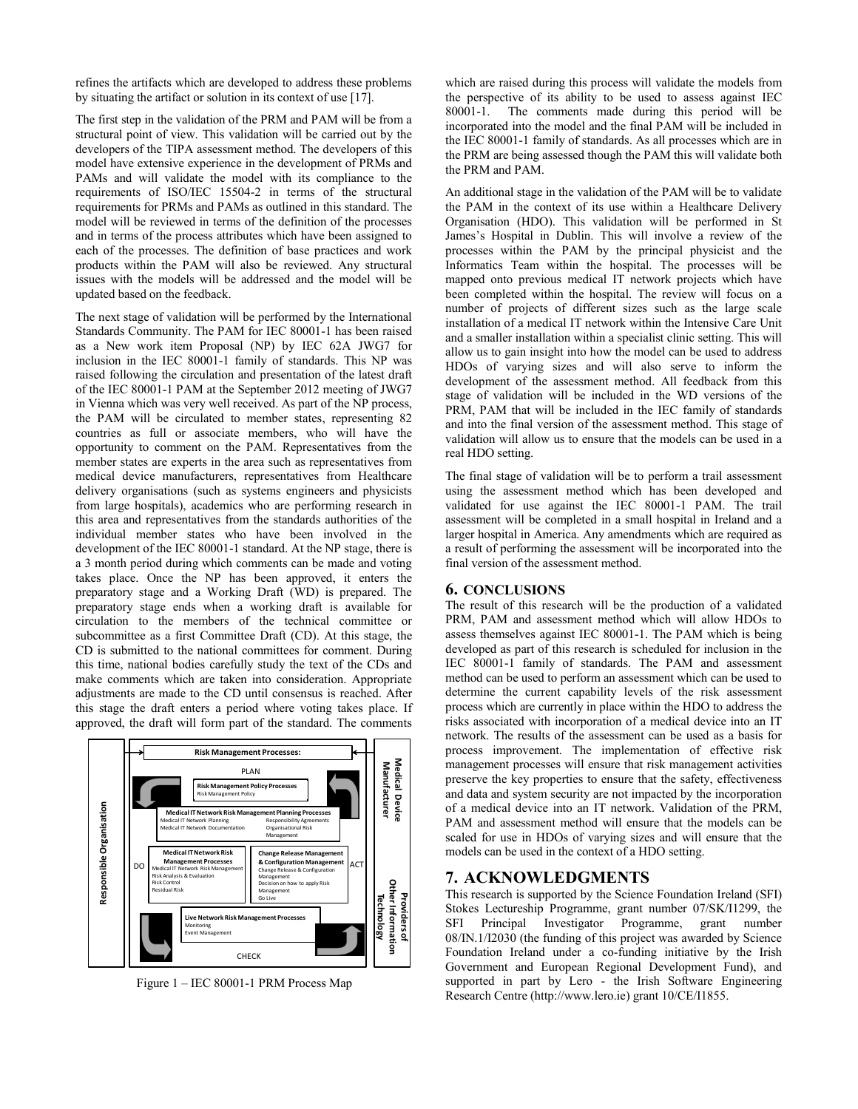refines the artifacts which are developed to address these problems by situating the artifact or solution in its context of use [\[17\]](#page-4-16).

The first step in the validation of the PRM and PAM will be from a structural point of view. This validation will be carried out by the developers of the TIPA assessment method. The developers of this model have extensive experience in the development of PRMs and PAMs and will validate the model with its compliance to the requirements of ISO/IEC 15504-2 in terms of the structural requirements for PRMs and PAMs as outlined in this standard. The model will be reviewed in terms of the definition of the processes and in terms of the process attributes which have been assigned to each of the processes. The definition of base practices and work products within the PAM will also be reviewed. Any structural issues with the models will be addressed and the model will be updated based on the feedback.

The next stage of validation will be performed by the International Standards Community. The PAM for IEC 80001-1 has been raised as a New work item Proposal (NP) by IEC 62A JWG7 for inclusion in the IEC 80001-1 family of standards. This NP was raised following the circulation and presentation of the latest draft of the IEC 80001-1 PAM at the September 2012 meeting of JWG7 in Vienna which was very well received. As part of the NP process, the PAM will be circulated to member states, representing 82 countries as full or associate members, who will have the opportunity to comment on the PAM. Representatives from the member states are experts in the area such as representatives from medical device manufacturers, representatives from Healthcare delivery organisations (such as systems engineers and physicists from large hospitals), academics who are performing research in this area and representatives from the standards authorities of the individual member states who have been involved in the development of the IEC 80001-1 standard. At the NP stage, there is a 3 month period during which comments can be made and voting takes place. Once the NP has been approved, it enters the preparatory stage and a Working Draft (WD) is prepared. The preparatory stage ends when a working draft is available for circulation to the members of the technical committee or subcommittee as a first Committee Draft (CD). At this stage, the CD is submitted to the national committees for comment. During this time, national bodies carefully study the text of the CDs and make comments which are taken into consideration. Appropriate adjustments are made to the CD until consensus is reached. After this stage the draft enters a period where voting takes place. If approved, the draft will form part of the standard. The comments



Figure 1 – IEC 80001-1 PRM Process Map

which are raised during this process will validate the models from the perspective of its ability to be used to assess against IEC 80001-1. The comments made during this period will be incorporated into the model and the final PAM will be included in the IEC 80001-1 family of standards. As all processes which are in the PRM are being assessed though the PAM this will validate both the PRM and PAM.

An additional stage in the validation of the PAM will be to validate the PAM in the context of its use within a Healthcare Delivery Organisation (HDO). This validation will be performed in St James's Hospital in Dublin. This will involve a review of the processes within the PAM by the principal physicist and the Informatics Team within the hospital. The processes will be mapped onto previous medical IT network projects which have been completed within the hospital. The review will focus on a number of projects of different sizes such as the large scale installation of a medical IT network within the Intensive Care Unit and a smaller installation within a specialist clinic setting. This will allow us to gain insight into how the model can be used to address HDOs of varying sizes and will also serve to inform the development of the assessment method. All feedback from this stage of validation will be included in the WD versions of the PRM, PAM that will be included in the IEC family of standards and into the final version of the assessment method. This stage of validation will allow us to ensure that the models can be used in a real HDO setting.

The final stage of validation will be to perform a trail assessment using the assessment method which has been developed and validated for use against the IEC 80001-1 PAM. The trail assessment will be completed in a small hospital in Ireland and a larger hospital in America. Any amendments which are required as a result of performing the assessment will be incorporated into the final version of the assessment method.

#### **6. CONCLUSIONS**

The result of this research will be the production of a validated PRM, PAM and assessment method which will allow HDOs to assess themselves against IEC 80001-1. The PAM which is being developed as part of this research is scheduled for inclusion in the IEC 80001-1 family of standards. The PAM and assessment method can be used to perform an assessment which can be used to determine the current capability levels of the risk assessment process which are currently in place within the HDO to address the risks associated with incorporation of a medical device into an IT network. The results of the assessment can be used as a basis for process improvement. The implementation of effective risk management processes will ensure that risk management activities preserve the key properties to ensure that the safety, effectiveness and data and system security are not impacted by the incorporation of a medical device into an IT network. Validation of the PRM, PAM and assessment method will ensure that the models can be scaled for use in HDOs of varying sizes and will ensure that the models can be used in the context of a HDO setting.

#### **7. ACKNOWLEDGMENTS**

This research is supported by the Science Foundation Ireland (SFI) Stokes Lectureship Programme, grant number 07/SK/I1299, the SFI Principal Investigator Programme, grant number 08/IN.1/I2030 (the funding of this project was awarded by Science Foundation Ireland under a co-funding initiative by the Irish Government and European Regional Development Fund), and supported in part by Lero - the Irish Software Engineering Research Centre (http://www.lero.ie) grant 10/CE/I1855.